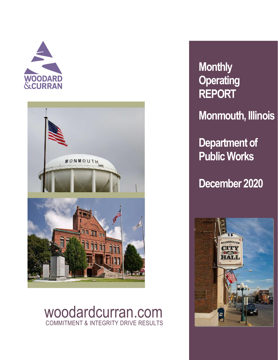



## woodardcurran.com COMMITMENT & INTEGRITY DRIVE RESULTS

# **Monthly Operating REPORT**

**Monmouth, Illinois**

**Department of Public Works**

**December 2020**

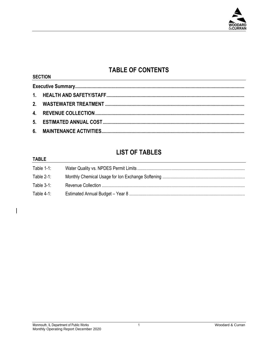

## **TABLE OF CONTENTS**

### **LIST OF TABLES**

#### **TARIF**

 $\overline{\phantom{a}}$ 

**SECTION** 

| ╷┌┙┙┕┕     |  |
|------------|--|
| Table 1-1: |  |
| Table 2-1: |  |
| Table 3-1: |  |
| Table 4-1: |  |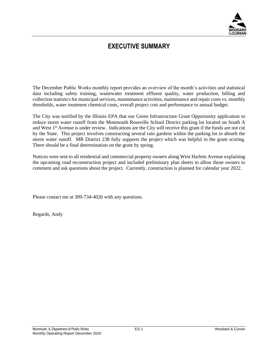

### **EXECUTIVE SUMMARY**

The December Public Works monthly report provides an overview of the month's activities and statistical data including safety training, wastewater treatment effluent quality, water production, billing and collection statistics for municipal services, maintenance activities, maintenance and repair costs vs. monthly thresholds, water treatment chemical costs, overall project cost and performance to annual budget.

The City was notified by the Illinois EPA that our Green Infrastructure Grant Opportunity application to reduce storm water runoff from the Monmouth Roseville School District parking lot located on South A and West 1<sup>st</sup> Avenue is under review. Indications are the City will receive this grant if the funds are not cut by the State. This project involves constructing several rain gardens within the parking lot to absorb the storm water runoff. MR District 238 fully supports the project which was helpful in the grant scoring. There should be a final determination on the grant by spring.

Notices were sent to all residential and commercial property owners along West Harlem Avenue explaining the upcoming road reconstruction project and included preliminary plan sheets to allow those owners to comment and ask questions about the project. Currently, construction is planned for calendar year 2022.

Please contact me at 309-734-4026 with any questions.

Regards, Andy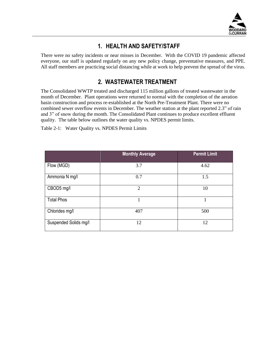<span id="page-3-1"></span>

#### **1. HEALTH AND SAFETY/STAFF**

<span id="page-3-0"></span>There were no safety incidents or near misses in December. With the COVID 19 pandemic affected everyone, our staff is updated regularly on any new policy change, preventative measures, and PPE. All staff members are practicing social distancing while at work to help prevent the spread of the virus.

#### <span id="page-3-2"></span>**2. WASTEWATER TREATMENT**

The Consolidated WWTP treated and discharged 115 million gallons of treated wastewater in the month of December. Plant operations were returned to normal with the completion of the aeration basin construction and process re-established at the North Pre-Treatment Plant. There were no combined sewer overflow events in December. The weather station at the plant reported 2.3" of rain and 3" of snow during the month. The Consolidated Plant continues to produce excellent effluent quality. The table below outlines the water quality vs. NPDES permit limits.

Table 2-1: Water Quality vs. NPDES Permit Limits

|                       | <b>Monthly Average</b> | <b>Permit Limit</b> |
|-----------------------|------------------------|---------------------|
| Flow (MGD)            | 3.7                    | 4.62                |
| Ammonia N mg/l        | 0.7                    | 1.5                 |
| CBOD5 mg/l            | $\overline{2}$         | 10                  |
| <b>Total Phos</b>     |                        |                     |
| Chlorides mg/l        | 407                    | 500                 |
| Suspended Solids mg/l | 12                     | 12                  |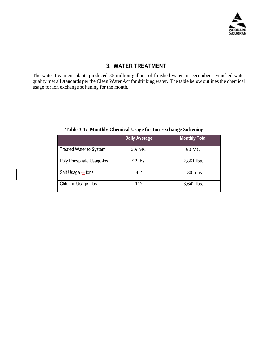

#### <span id="page-4-0"></span>**3. WATER TREATMENT**

The water treatment plants produced 86 million gallons of finished water in December. Finished water quality met all standards per the Clean Water Act for drinking water. The table below outlines the chemical usage for ion exchange softening for the month.

|                                | <b>Daily Average</b> | <b>Monthly Total</b> |
|--------------------------------|----------------------|----------------------|
| <b>Treated Water to System</b> | 2.9 <sub>MG</sub>    | 90 MG                |
| Poly Phosphate Usage-Ibs.      | 92 lbs.              | 2,861 lbs.           |
| Salt Usage – tons              | 4.2                  | 130 tons             |
| Chlorine Usage - lbs.          | 117                  | 3,642 lbs.           |

**Table 3-1: Monthly Chemical Usage for Ion Exchange Softening**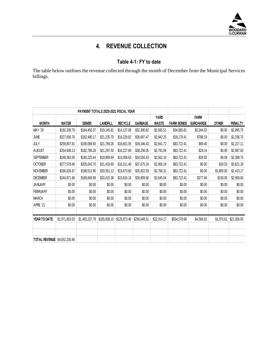

## **4. REVENUE COLLECTION**

#### **Table 4-1: FY to date**

<span id="page-5-1"></span><span id="page-5-0"></span>The table below outlines the revenue collected through the month of December from the Municipal Services billings.

|                      |                | PAYMENT TOTALS 2020-2021 FISCAL YEAR |                 |                |                |              |                   |                  |              |                |
|----------------------|----------------|--------------------------------------|-----------------|----------------|----------------|--------------|-------------------|------------------|--------------|----------------|
|                      |                |                                      |                 |                |                | YARD         |                   | <b>FARM</b>      |              |                |
| <b>MONTH</b>         | <b>WATER</b>   | <b>SEWER</b>                         | <b>LANDFILL</b> | <b>RECYCLE</b> | <b>GARBAGE</b> | <b>WASTE</b> | <b>FARM BONDS</b> | <b>SURCHARGE</b> | <b>OTHER</b> | <b>PENALTY</b> |
| MAY '20              | \$192,339.79   | \$164,450.37                         | \$19,145.81     | \$14,137.08    | \$32,390.82    | \$2,565.51   | \$34,065.81       | \$3,344.52       | \$0.00       | \$2,995.75     |
| <b>JUNE</b>          | \$227,656.76   | \$182,480.17                         | \$21,235.70     | \$16,229.82    | \$36,697.47    | \$2,842.25   | \$18,179.41       | \$788.19         | \$0.00       | \$2,336.75     |
| JULY                 | \$259,807.81   | \$190,069.93                         | \$21,769.26     | \$16,601.05    | \$39,346.43    | \$2,941.72   | \$83,722.41       | \$99.40          | \$0.00       | \$2,227.11     |
| <b>AUGUST</b>        | \$254,608.13   | \$182,786.28                         | \$21,297.50     | \$16,227.69    | \$38,256.05    | \$2,791.06   | \$83,722.41       | \$29.14          | \$0.00       | \$2,987.63     |
| <b>SEPTEMBER</b>     | \$248,363.59   | \$180,225.44                         | \$19,809.69     | \$15,058.63    | \$34,550.43    | \$2,562.10   | \$83,722.41       | \$29.93          | \$0.08       | \$2,388.75     |
| <b>OCTOBER</b>       | \$277,578.40   | \$205,042.70                         | \$21,433.69     | \$16,311.40    | \$37,675.16    | \$2,906.18   | \$83,722.41       | \$0.00           | \$20.53      | \$3,621.29     |
| <b>NOVEMBER</b>      | \$266,626.87   | \$198,512.90                         | \$20,551.12     | \$15,673.60    | \$35,922.59    | \$2,760.31   | \$83,722.41       | \$0.00           | \$1,800.00   | \$2,410.17     |
| <b>DECEMBER</b>      | \$244,871.68   | \$189,669.99                         | \$20,415.38     | \$15,634.19    | \$35,809.56    | \$2,645.04   | \$83,722.41       | \$277.84         | \$150.00     | \$2,958.60     |
| <b>JANUARY</b>       | \$0.00         | \$0.00                               | \$0.00          | \$0.00         | \$0.00         | \$0.00       | \$0.00            | \$0.00           | \$0.00       | \$0.00         |
| <b>FEBRUARY</b>      | \$0.00         | \$0.00                               | \$0.00          | \$0.00         | \$0.00         | \$0.00       | \$0.00            | \$0.00           | \$0.00       | \$0.00         |
| <b>MARCH</b>         | \$0.00         | \$0.00                               | \$0.00          | \$0.00         | \$0.00         | \$0.00       | \$0.00            | \$0.00           | \$0.00       | \$0.00         |
| APRIL '21            | \$0.00         | \$0.00                               | \$0.00          | \$0.00         | \$0.00         | \$0.00       | \$0.00            | \$0.00           | \$0.00       | \$0.00         |
| YEAR TO DATE         | \$1,971,853.03 | \$1,493,237.78                       | \$165,658.15    | \$125,873.46   | \$290,648.51   | \$22,014.17  | \$554,579.68      | \$4,569.02       | \$1,970.61   | \$21,926.05    |
|                      |                |                                      |                 |                |                |              |                   |                  |              |                |
| <b>TOTAL REVENUE</b> | \$4,652,330.46 |                                      |                 |                |                |              |                   |                  |              |                |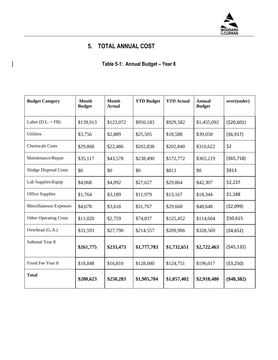

## **5. TOTAL ANNUAL COST**

**Table 5-1: Annual Budget – Year 8**

<span id="page-6-1"></span><span id="page-6-0"></span>

| <b>Budget Category</b>       | <b>Month</b><br><b>Budget</b> | <b>Month</b><br><b>Actual</b> | <b>YTD Budget</b> | <b>YTD</b> Actual | Annual<br><b>Budget</b> | over(under)  |
|------------------------------|-------------------------------|-------------------------------|-------------------|-------------------|-------------------------|--------------|
| Labor $(D.L. + FB)$          | \$139,913                     | \$123,072                     | \$950,183         | \$929,582         | \$1,455,092             | (\$20,601)   |
| <b>Utilities</b>             | \$3,756                       | \$2,889                       | \$25,505          | \$18,588          | \$39,058                | (56, 917)    |
| <b>Chemicals Costs</b>       | \$29,868                      | \$22,486                      | \$202,838         | \$202,840         | \$310,622               | \$2          |
| Maintenance\Repair           | \$35,117                      | \$43,578                      | \$238,490         | \$172,772         | \$365,219               | (565, 718)   |
| <b>Sludge Disposal Costs</b> | \$0                           | \$0                           | \$0               | \$813             | \$0                     | \$813        |
| Lab Supplies\Equip           | \$4,068                       | \$4,092                       | \$27,627          | \$29,864          | \$42,307                | \$2,237      |
| <b>Office Supplies</b>       | \$1,764                       | \$3,189                       | \$11,979          | \$13,167          | \$18,344                | \$1,188      |
| Miscellaneous Expenses       | \$4,678                       | \$3,618                       | \$31,767          | \$29,668          | \$48,648                | (52,099)     |
| <b>Other Operating Costs</b> | \$11,020                      | \$2,759                       | \$74,837          | \$125,452         | \$114,604               | \$50,615     |
| Overhead (G.A.)              | \$31,593                      | \$27,790                      | \$214,557         | \$209,906         | \$328,569               | (54, 652)    |
| Subtotal Year 8              | \$261,775                     | \$233,473                     | \$1,777,783       | \$1,732,651       | \$2,722,463             | (545, 132)   |
| Fixed Fee Year 8             | \$18,848                      | \$16,810                      | \$128,000         | \$124,751         | \$196,017               | ( \$3,250)   |
| <b>Total</b>                 | \$280,623                     | \$250,283                     | \$1,905,784       | \$1,857,402       | \$2,918,480             | $(\$48,382)$ |